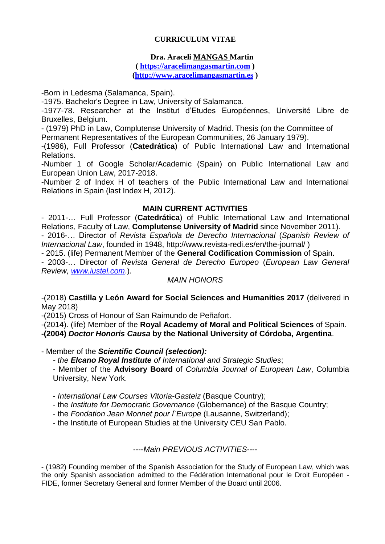# **CURRICULUM VITAE**

# **Dra. Araceli MANGAS Martin**

**( [https://aracelimangasmartin.com](https://aracelimangasmartin.com/) ) [\(http://www.aracelimangasmartin.es](http://www.aracelimangasmartin.es/) )**

-Born in Ledesma (Salamanca, Spain).

-1975. Bachelor's Degree in Law, University of Salamanca.

-1977-78. Researcher at the Institut d'Etudes Européennes, Université Libre de Bruxelles, Belgium.

- (1979) PhD in Law, Complutense University of Madrid. Thesis (on the Committee of Permanent Representatives of the European Communities, 26 January 1979).

-(1986), Full Professor (**Catedrática**) of Public International Law and International Relations.

-Number 1 of Google Scholar/Academic (Spain) on Public International Law and European Union Law, 2017-2018.

-Number 2 of Index H of teachers of the Public International Law and International Relations in Spain (last Index H, 2012).

### **MAIN CURRENT ACTIVITIES**

- 2011-… Full Professor (**Catedrática**) of Public International Law and International Relations, Faculty of Law, **Complutense University of Madrid** since November 2011).

- 2016-… Director of *Revista Española de Derecho Internacional* (*Spanish Review of Internacional Law*, founded in 1948, http://www.revista-redi.es/en/the-journal/ )

- 2015. (life) Permanent Member of the **General Codification Commission** of Spain.

- 2003-… Director of *Revista General de Derecho Europeo* (*European Law General Review, [www.iustel.com](http://www.iustel.com/)*.).

# *MAIN HONORS*

-(2018) **Castilla y León Award for Social Sciences and Humanities 2017** (delivered in May 2018)

-(2015) Cross of Honour of San Raimundo de Peñafort.

-(2014). (life) Member of the **Royal Academy of Moral and Political Sciences** of Spain. **-(2004)** *Doctor Honoris Causa* **by the National University of Córdoba, Argentina**.

- Member of the *Scientific Council (selection):*

*- the Elcano Royal Institute of International and Strategic Studies*;

- Member of the **Advisory Board** of *Columbia Journal of European Law*, Columbia University, New York.

- *International Law Courses Vitoria-Gasteiz* (Basque Country);

- the *Institute for Democratic Governance* (Globernance) of the Basque Country;

- the *Fondation Jean Monnet pour l`Europe* (Lausanne, Switzerland);

- the Institute of European Studies at the University CEU San Pablo.

----*Main PREVIOUS ACTIVITIES*----

- (1982) Founding member of the Spanish Association for the Study of European Law, which was the only Spanish association admitted to the Fédération International pour le Droit Européen - FIDE, former Secretary General and former Member of the Board until 2006.